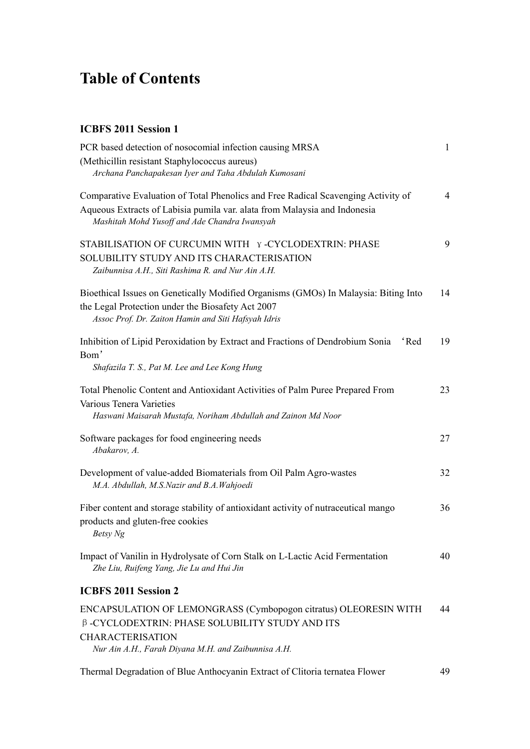## **Table of Contents**

## **ICBFS 2011 Session 1**

| (Methicillin resistant Staphylococcus aureus)<br>Archana Panchapakesan Iyer and Taha Abdulah Kumosani<br>Comparative Evaluation of Total Phenolics and Free Radical Scavenging Activity of<br>Aqueous Extracts of Labisia pumila var. alata from Malaysia and Indonesia<br>Mashitah Mohd Yusoff and Ade Chandra Iwansyah<br>STABILISATION OF CURCUMIN WITH Y-CYCLODEXTRIN: PHASE<br>SOLUBILITY STUDY AND ITS CHARACTERISATION<br>Zaibunnisa A.H., Siti Rashima R. and Nur Ain A.H.<br>Bioethical Issues on Genetically Modified Organisms (GMOs) In Malaysia: Biting Into<br>the Legal Protection under the Biosafety Act 2007<br>Assoc Prof. Dr. Zaiton Hamin and Siti Hafsyah Idris<br>Inhibition of Lipid Peroxidation by Extract and Fractions of Dendrobium Sonia<br>f Red<br>Bom'<br>Shafazila T. S., Pat M. Lee and Lee Kong Hung<br>Total Phenolic Content and Antioxidant Activities of Palm Puree Prepared From<br>Various Tenera Varieties<br>Haswani Maisarah Mustafa, Noriham Abdullah and Zainon Md Noor<br>Software packages for food engineering needs<br>Abakarov, A.<br>Development of value-added Biomaterials from Oil Palm Agro-wastes<br>M.A. Abdullah, M.S.Nazir and B.A.Wahjoedi<br>Fiber content and storage stability of antioxidant activity of nutraceutical mango<br>products and gluten-free cookies<br>Betsy Ng<br>Impact of Vanilin in Hydrolysate of Corn Stalk on L-Lactic Acid Fermentation<br>Zhe Liu, Ruifeng Yang, Jie Lu and Hui Jin<br><b>ICBFS 2011 Session 2</b><br>ENCAPSULATION OF LEMONGRASS (Cymbopogon citratus) OLEORESIN WITH<br>β-CYCLODEXTRIN: PHASE SOLUBILITY STUDY AND ITS<br><b>CHARACTERISATION</b> | PCR based detection of nosocomial infection causing MRSA | 1              |
|-------------------------------------------------------------------------------------------------------------------------------------------------------------------------------------------------------------------------------------------------------------------------------------------------------------------------------------------------------------------------------------------------------------------------------------------------------------------------------------------------------------------------------------------------------------------------------------------------------------------------------------------------------------------------------------------------------------------------------------------------------------------------------------------------------------------------------------------------------------------------------------------------------------------------------------------------------------------------------------------------------------------------------------------------------------------------------------------------------------------------------------------------------------------------------------------------------------------------------------------------------------------------------------------------------------------------------------------------------------------------------------------------------------------------------------------------------------------------------------------------------------------------------------------------------------------------------------------------------------------------------------------------------------|----------------------------------------------------------|----------------|
|                                                                                                                                                                                                                                                                                                                                                                                                                                                                                                                                                                                                                                                                                                                                                                                                                                                                                                                                                                                                                                                                                                                                                                                                                                                                                                                                                                                                                                                                                                                                                                                                                                                             |                                                          |                |
|                                                                                                                                                                                                                                                                                                                                                                                                                                                                                                                                                                                                                                                                                                                                                                                                                                                                                                                                                                                                                                                                                                                                                                                                                                                                                                                                                                                                                                                                                                                                                                                                                                                             |                                                          |                |
|                                                                                                                                                                                                                                                                                                                                                                                                                                                                                                                                                                                                                                                                                                                                                                                                                                                                                                                                                                                                                                                                                                                                                                                                                                                                                                                                                                                                                                                                                                                                                                                                                                                             |                                                          | $\overline{4}$ |
|                                                                                                                                                                                                                                                                                                                                                                                                                                                                                                                                                                                                                                                                                                                                                                                                                                                                                                                                                                                                                                                                                                                                                                                                                                                                                                                                                                                                                                                                                                                                                                                                                                                             |                                                          |                |
|                                                                                                                                                                                                                                                                                                                                                                                                                                                                                                                                                                                                                                                                                                                                                                                                                                                                                                                                                                                                                                                                                                                                                                                                                                                                                                                                                                                                                                                                                                                                                                                                                                                             |                                                          |                |
|                                                                                                                                                                                                                                                                                                                                                                                                                                                                                                                                                                                                                                                                                                                                                                                                                                                                                                                                                                                                                                                                                                                                                                                                                                                                                                                                                                                                                                                                                                                                                                                                                                                             |                                                          | 9              |
|                                                                                                                                                                                                                                                                                                                                                                                                                                                                                                                                                                                                                                                                                                                                                                                                                                                                                                                                                                                                                                                                                                                                                                                                                                                                                                                                                                                                                                                                                                                                                                                                                                                             |                                                          |                |
|                                                                                                                                                                                                                                                                                                                                                                                                                                                                                                                                                                                                                                                                                                                                                                                                                                                                                                                                                                                                                                                                                                                                                                                                                                                                                                                                                                                                                                                                                                                                                                                                                                                             |                                                          |                |
|                                                                                                                                                                                                                                                                                                                                                                                                                                                                                                                                                                                                                                                                                                                                                                                                                                                                                                                                                                                                                                                                                                                                                                                                                                                                                                                                                                                                                                                                                                                                                                                                                                                             |                                                          | 14             |
|                                                                                                                                                                                                                                                                                                                                                                                                                                                                                                                                                                                                                                                                                                                                                                                                                                                                                                                                                                                                                                                                                                                                                                                                                                                                                                                                                                                                                                                                                                                                                                                                                                                             |                                                          |                |
|                                                                                                                                                                                                                                                                                                                                                                                                                                                                                                                                                                                                                                                                                                                                                                                                                                                                                                                                                                                                                                                                                                                                                                                                                                                                                                                                                                                                                                                                                                                                                                                                                                                             |                                                          |                |
|                                                                                                                                                                                                                                                                                                                                                                                                                                                                                                                                                                                                                                                                                                                                                                                                                                                                                                                                                                                                                                                                                                                                                                                                                                                                                                                                                                                                                                                                                                                                                                                                                                                             |                                                          | 19             |
|                                                                                                                                                                                                                                                                                                                                                                                                                                                                                                                                                                                                                                                                                                                                                                                                                                                                                                                                                                                                                                                                                                                                                                                                                                                                                                                                                                                                                                                                                                                                                                                                                                                             |                                                          |                |
|                                                                                                                                                                                                                                                                                                                                                                                                                                                                                                                                                                                                                                                                                                                                                                                                                                                                                                                                                                                                                                                                                                                                                                                                                                                                                                                                                                                                                                                                                                                                                                                                                                                             |                                                          |                |
|                                                                                                                                                                                                                                                                                                                                                                                                                                                                                                                                                                                                                                                                                                                                                                                                                                                                                                                                                                                                                                                                                                                                                                                                                                                                                                                                                                                                                                                                                                                                                                                                                                                             |                                                          | 23             |
|                                                                                                                                                                                                                                                                                                                                                                                                                                                                                                                                                                                                                                                                                                                                                                                                                                                                                                                                                                                                                                                                                                                                                                                                                                                                                                                                                                                                                                                                                                                                                                                                                                                             |                                                          |                |
|                                                                                                                                                                                                                                                                                                                                                                                                                                                                                                                                                                                                                                                                                                                                                                                                                                                                                                                                                                                                                                                                                                                                                                                                                                                                                                                                                                                                                                                                                                                                                                                                                                                             |                                                          |                |
|                                                                                                                                                                                                                                                                                                                                                                                                                                                                                                                                                                                                                                                                                                                                                                                                                                                                                                                                                                                                                                                                                                                                                                                                                                                                                                                                                                                                                                                                                                                                                                                                                                                             |                                                          | 27             |
|                                                                                                                                                                                                                                                                                                                                                                                                                                                                                                                                                                                                                                                                                                                                                                                                                                                                                                                                                                                                                                                                                                                                                                                                                                                                                                                                                                                                                                                                                                                                                                                                                                                             |                                                          |                |
|                                                                                                                                                                                                                                                                                                                                                                                                                                                                                                                                                                                                                                                                                                                                                                                                                                                                                                                                                                                                                                                                                                                                                                                                                                                                                                                                                                                                                                                                                                                                                                                                                                                             |                                                          | 32             |
|                                                                                                                                                                                                                                                                                                                                                                                                                                                                                                                                                                                                                                                                                                                                                                                                                                                                                                                                                                                                                                                                                                                                                                                                                                                                                                                                                                                                                                                                                                                                                                                                                                                             |                                                          |                |
|                                                                                                                                                                                                                                                                                                                                                                                                                                                                                                                                                                                                                                                                                                                                                                                                                                                                                                                                                                                                                                                                                                                                                                                                                                                                                                                                                                                                                                                                                                                                                                                                                                                             |                                                          | 36             |
|                                                                                                                                                                                                                                                                                                                                                                                                                                                                                                                                                                                                                                                                                                                                                                                                                                                                                                                                                                                                                                                                                                                                                                                                                                                                                                                                                                                                                                                                                                                                                                                                                                                             |                                                          |                |
|                                                                                                                                                                                                                                                                                                                                                                                                                                                                                                                                                                                                                                                                                                                                                                                                                                                                                                                                                                                                                                                                                                                                                                                                                                                                                                                                                                                                                                                                                                                                                                                                                                                             |                                                          |                |
|                                                                                                                                                                                                                                                                                                                                                                                                                                                                                                                                                                                                                                                                                                                                                                                                                                                                                                                                                                                                                                                                                                                                                                                                                                                                                                                                                                                                                                                                                                                                                                                                                                                             |                                                          | 40             |
|                                                                                                                                                                                                                                                                                                                                                                                                                                                                                                                                                                                                                                                                                                                                                                                                                                                                                                                                                                                                                                                                                                                                                                                                                                                                                                                                                                                                                                                                                                                                                                                                                                                             |                                                          |                |
|                                                                                                                                                                                                                                                                                                                                                                                                                                                                                                                                                                                                                                                                                                                                                                                                                                                                                                                                                                                                                                                                                                                                                                                                                                                                                                                                                                                                                                                                                                                                                                                                                                                             |                                                          |                |
|                                                                                                                                                                                                                                                                                                                                                                                                                                                                                                                                                                                                                                                                                                                                                                                                                                                                                                                                                                                                                                                                                                                                                                                                                                                                                                                                                                                                                                                                                                                                                                                                                                                             |                                                          | 44             |
|                                                                                                                                                                                                                                                                                                                                                                                                                                                                                                                                                                                                                                                                                                                                                                                                                                                                                                                                                                                                                                                                                                                                                                                                                                                                                                                                                                                                                                                                                                                                                                                                                                                             |                                                          |                |
|                                                                                                                                                                                                                                                                                                                                                                                                                                                                                                                                                                                                                                                                                                                                                                                                                                                                                                                                                                                                                                                                                                                                                                                                                                                                                                                                                                                                                                                                                                                                                                                                                                                             | Nur Ain A.H., Farah Diyana M.H. and Zaibunnisa A.H.      |                |
|                                                                                                                                                                                                                                                                                                                                                                                                                                                                                                                                                                                                                                                                                                                                                                                                                                                                                                                                                                                                                                                                                                                                                                                                                                                                                                                                                                                                                                                                                                                                                                                                                                                             |                                                          |                |

Thermal Degradation of Blue Anthocyanin Extract of Clitoria ternatea Flower 49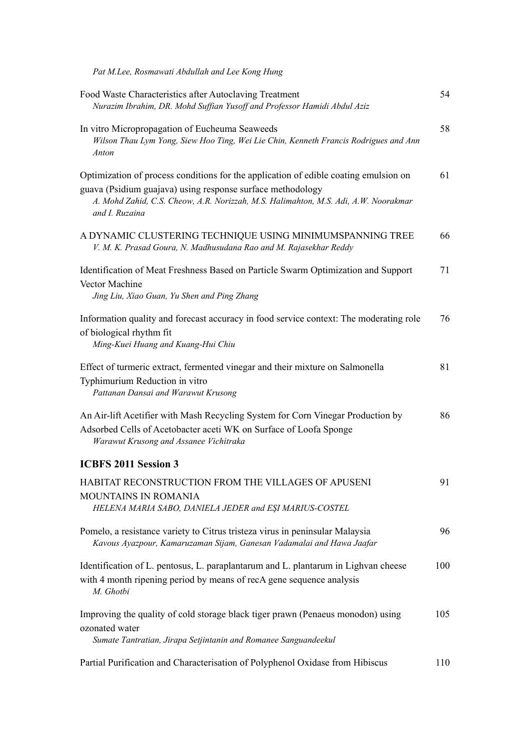*Pat M.Lee, Rosmawati Abdullah and Lee Kong Hung*

| Food Waste Characteristics after Autoclaving Treatment<br>Nurazim Ibrahim, DR. Mohd Suffian Yusoff and Professor Hamidi Abdul Aziz                                                                                                                          | 54  |
|-------------------------------------------------------------------------------------------------------------------------------------------------------------------------------------------------------------------------------------------------------------|-----|
| In vitro Micropropagation of Eucheuma Seaweeds<br>Wilson Thau Lym Yong, Siew Hoo Ting, Wei Lie Chin, Kenneth Francis Rodrigues and Ann<br>Anton                                                                                                             | 58  |
| Optimization of process conditions for the application of edible coating emulsion on<br>guava (Psidium guajava) using response surface methodology<br>A. Mohd Zahid, C.S. Cheow, A.R. Norizzah, M.S. Halimahton, M.S. Adi, A.W. Noorakmar<br>and I. Ruzaina | 61  |
| A DYNAMIC CLUSTERING TECHNIQUE USING MINIMUMSPANNING TREE<br>V. M. K. Prasad Goura, N. Madhusudana Rao and M. Rajasekhar Reddy                                                                                                                              | 66  |
| Identification of Meat Freshness Based on Particle Swarm Optimization and Support<br>Vector Machine<br>Jing Liu, Xiao Guan, Yu Shen and Ping Zhang                                                                                                          | 71  |
| Information quality and forecast accuracy in food service context: The moderating role<br>of biological rhythm fit<br>Ming-Kuei Huang and Kuang-Hui Chiu                                                                                                    | 76  |
| Effect of turmeric extract, fermented vinegar and their mixture on Salmonella<br>Typhimurium Reduction in vitro<br>Pattanan Dansai and Warawut Krusong                                                                                                      | 81  |
| An Air-lift Acetifier with Mash Recycling System for Corn Vinegar Production by<br>Adsorbed Cells of Acetobacter aceti WK on Surface of Loofa Sponge<br>Warawut Krusong and Assanee Vichitraka                                                              | 86  |
| <b>ICBFS 2011 Session 3</b>                                                                                                                                                                                                                                 |     |
| HABITAT RECONSTRUCTION FROM THE VILLAGES OF APUSENI<br>MOUNTAINS IN ROMANIA                                                                                                                                                                                 | 91  |
| HELENA MARIA SABO, DANIELA JEDER and EŞI MARIUS-COSTEL                                                                                                                                                                                                      |     |
| Pomelo, a resistance variety to Citrus tristeza virus in peninsular Malaysia<br>Kavous Ayazpour, Kamaruzaman Sijam, Ganesan Vadamalai and Hawa Jaafar                                                                                                       | 96  |
| Identification of L. pentosus, L. paraplantarum and L. plantarum in Lighvan cheese<br>with 4 month ripening period by means of recA gene sequence analysis<br>M. Ghotbi                                                                                     | 100 |
| Improving the quality of cold storage black tiger prawn (Penaeus monodon) using<br>ozonated water<br>Sumate Tantratian, Jirapa Setjintanin and Romanee Sanguandeekul                                                                                        | 105 |
| Partial Purification and Characterisation of Polyphenol Oxidase from Hibiscus                                                                                                                                                                               | 110 |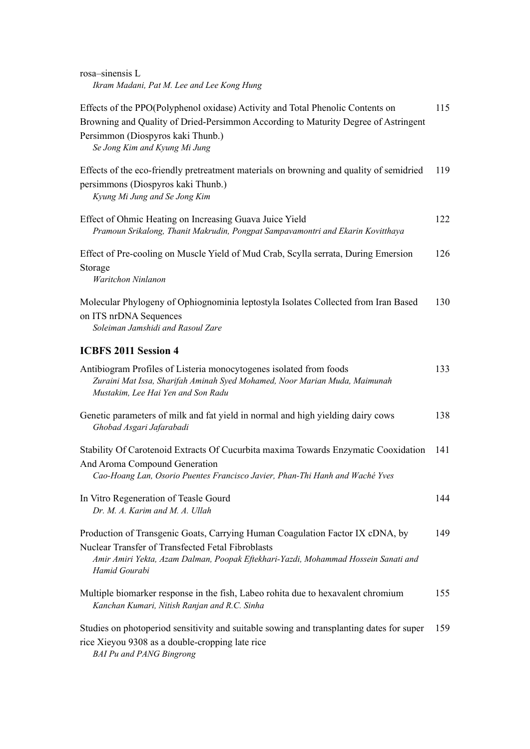| rosa-sinensis L |                                            |  |
|-----------------|--------------------------------------------|--|
|                 | Ikram Madani, Pat M. Lee and Lee Kong Hung |  |

| Effects of the PPO(Polyphenol oxidase) Activity and Total Phenolic Contents on<br>Browning and Quality of Dried-Persimmon According to Maturity Degree of Astringent<br>Persimmon (Diospyros kaki Thunb.)<br>Se Jong Kim and Kyung Mi Jung | 115 |
|--------------------------------------------------------------------------------------------------------------------------------------------------------------------------------------------------------------------------------------------|-----|
| Effects of the eco-friendly pretreatment materials on browning and quality of semidried<br>persimmons (Diospyros kaki Thunb.)<br>Kyung Mi Jung and Se Jong Kim                                                                             | 119 |
| Effect of Ohmic Heating on Increasing Guava Juice Yield<br>Pramoun Srikalong, Thanit Makrudin, Pongpat Sampavamontri and Ekarin Kovitthaya                                                                                                 | 122 |
| Effect of Pre-cooling on Muscle Yield of Mud Crab, Scylla serrata, During Emersion<br>Storage<br>Waritchon Ninlanon                                                                                                                        | 126 |
| Molecular Phylogeny of Ophiognominia leptostyla Isolates Collected from Iran Based<br>on ITS nrDNA Sequences<br>Soleiman Jamshidi and Rasoul Zare                                                                                          | 130 |
| <b>ICBFS 2011 Session 4</b>                                                                                                                                                                                                                |     |
| Antibiogram Profiles of Listeria monocytogenes isolated from foods<br>Zuraini Mat Issa, Sharifah Aminah Syed Mohamed, Noor Marian Muda, Maimunah<br>Mustakim, Lee Hai Yen and Son Radu                                                     | 133 |
| Genetic parameters of milk and fat yield in normal and high yielding dairy cows<br>Ghobad Asgari Jafarabadi                                                                                                                                | 138 |
| Stability Of Carotenoid Extracts Of Cucurbita maxima Towards Enzymatic Cooxidation<br>And Aroma Compound Generation<br>Cao-Hoang Lan, Osorio Puentes Francisco Javier, Phan-Thi Hanh and Waché Yves                                        | 141 |
| In Vitro Regeneration of Teasle Gourd<br>Dr. M. A. Karim and M. A. Ullah                                                                                                                                                                   | 144 |
| Production of Transgenic Goats, Carrying Human Coagulation Factor IX cDNA, by<br>Nuclear Transfer of Transfected Fetal Fibroblasts<br>Amir Amiri Yekta, Azam Dalman, Poopak Eftekhari-Yazdi, Mohammad Hossein Sanati and<br>Hamid Gourabi  | 149 |
| Multiple biomarker response in the fish, Labeo rohita due to hexavalent chromium<br>Kanchan Kumari, Nitish Ranjan and R.C. Sinha                                                                                                           | 155 |
| Studies on photoperiod sensitivity and suitable sowing and transplanting dates for super<br>rice Xieyou 9308 as a double-cropping late rice<br><b>BAI Pu and PANG Bingrong</b>                                                             | 159 |